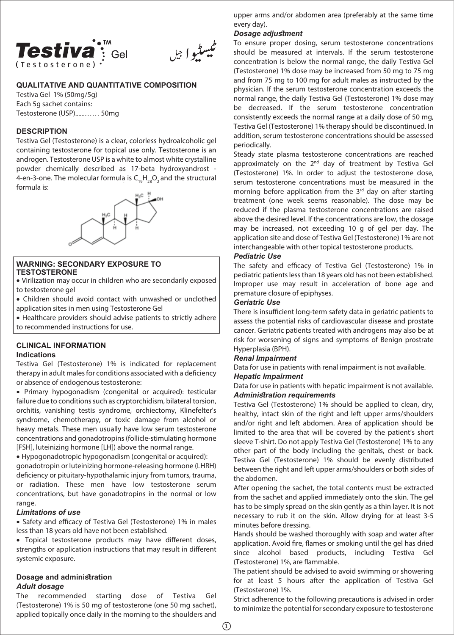

ٿيسڻوا جل

# **QUALITATIVE AND QUANTITATIVE COMPOSITION**

Testiva Gel 1% (50mg/5g) Each 5g sachet contains: Testosterone (USP)......…… 50mg

# **DESCRIPTION**

Testiva Gel (Testosterone) is a clear, colorless hydroalcoholic gel containing testosterone for topical use only. Testosterone is an androgen. Testosterone USP is a white to almost white crystalline powder chemically described as 17-beta hydroxyandrost - 4-en-3-one. The molecular formula is  $C_{10}H_{20}O_2$  and the structural formula is:



#### **WARNING: SECONDARY EXPOSURE TO TESTOSTERONE**

• Virilization may occur in children who are secondarily exposed to testosterone gel

• Children should avoid contact with unwashed or unclothed application sites in men using Testosterone Gel

• Healthcare providers should advise patients to strictly adhere to recommended instructions for use.

#### **CLINICAL INFORMATION Indications**

Testiva Gel (Testosterone) 1% is indicated for replacement therapy in adult males for conditions associated with a deficiency or absence of endogenous testosterone:

• Primary hypogonadism (congenital or acquired): testicular failure due to conditions such as cryptorchidism, bilateral torsion, orchitis, vanishing testis syndrome, orchiectomy, Klinefelter's syndrome, chemotherapy, or toxic damage from alcohol or heavy metals. These men usually have low serum testosterone concentrations and gonadotropins (follicle-stimulating hormone [FSH], luteinizing hormone [LH]) above the normal range.

• Hypogonadotropic hypogonadism (congenital or acquired): gonadotropin or luteinizing hormone-releasing hormone (LHRH) deficiency or pituitary-hypothalamic injury from tumors, trauma, or radiation. These men have low testosterone serum concentrations, but have gonadotropins in the normal or low range.

# *Limitations of use*

• Safety and efficacy of Testiva Gel (Testosterone) 1% in males less than 18 years old have not been established.

• Topical testosterone products may have different doses, strengths or application instructions that may result in different systemic exposure.

# **Dosage and administration** *Adult dosage*

The recommended starting dose of Testiva Gel (Testosterone) 1% is 50 mg of testosterone (one 50 mg sachet), applied topically once daily in the morning to the shoulders and

upper arms and/or abdomen area (preferably at the same time every day).

# *Dosage adjustment*

To ensure proper dosing, serum testosterone concentrations should be measured at intervals. If the serum testosterone concentration is below the normal range, the daily Testiva Gel (Testosterone) 1% dose may be increased from 50 mg to 75 mg and from 75 mg to 100 mg for adult males as instructed by the physician. If the serum testosterone concentration exceeds the normal range, the daily Testiva Gel (Testosterone) 1% dose may be decreased. If the serum testosterone concentration consistently exceeds the normal range at a daily dose of 50 mg, Testiva Gel (Testosterone) 1% therapy should be discontinued. In addition, serum testosterone concentrations should be assessed periodically.

Steady state plasma testosterone concentrations are reached approximately on the 2<sup>nd</sup> day of treatment by Testiva Gel (Testosterone) 1%. In order to adjust the testosterone dose, serum testosterone concentrations must be measured in the morning before application from the 3<sup>rd</sup> day on after starting treatment (one week seems reasonable). The dose may be reduced if the plasma testosterone concentrations are raised above the desired level. If the concentrations are low, the dosage may be increased, not exceeding 10 g of gel per day. The application site and dose of Testiva Gel (Testosterone) 1% are not interchangeable with other topical testosterone products.

# *Pediatric Use*

The safety and efficacy of Testiva Gel (Testosterone) 1% in pediatric patients less than 18 years old has not been established. Improper use may result in acceleration of bone age and premature closure of epiphyses.

# *Geriatric Use*

There is insufficient long-term safety data in geriatric patients to assess the potential risks of cardiovascular disease and prostate cancer. Geriatric patients treated with androgens may also be at risk for worsening of signs and symptoms of Benign prostrate Hyperplasia (BPH).

# *Renal Impairment*

Data for use in patients with renal impairment is not available.

## *Hepatic Impairment*

Data for use in patients with hepatic impairment is not available. *Administration requirements*

Testiva Gel (Testosterone) 1% should be applied to clean, dry, healthy, intact skin of the right and left upper arms/shoulders and/or right and left abdomen. Area of application should be limited to the area that will be covered by the patient's short sleeve T-shirt. Do not apply Testiva Gel (Testosterone) 1% to any other part of the body including the genitals, chest or back. Testiva Gel (Testosterone) 1% should be evenly distributed between the right and left upper arms/shoulders or both sides of the abdomen.

After opening the sachet, the total contents must be extracted from the sachet and applied immediately onto the skin. The gel has to be simply spread on the skin gently as a thin layer. It is not necessary to rub it on the skin. Allow drying for at least 3-5 minutes before dressing.

Hands should be washed thoroughly with soap and water after application. Avoid fire, flames or smoking until the gel has dried since alcohol based products, including Testiva Gel (Testosterone) 1%, are flammable.

The patient should be advised to avoid swimming or showering for at least 5 hours after the application of Testiva Gel (Testosterone) 1%.

Strict adherence to the following precautions is advised in order to minimize the potential for secondary exposure to testosterone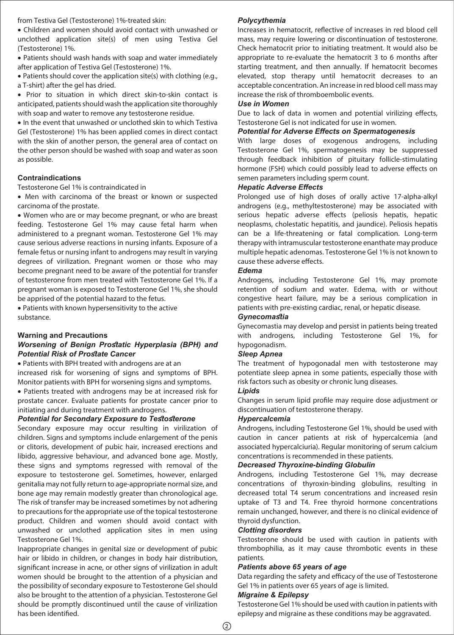from Testiva Gel (Testosterone) 1%-treated skin:

• Children and women should avoid contact with unwashed or unclothed application site(s) of men using Testiva Gel (Testosterone) 1%.

• Patients should wash hands with soap and water immediately after application of Testiva Gel (Testosterone) 1%.

• Patients should cover the application site(s) with clothing (e.g., a T-shirt) after the gel has dried.

• Prior to situation in which direct skin-to-skin contact is anticipated, patients should wash the application site thoroughly with soap and water to remove any testosterone residue.

• In the event that unwashed or unclothed skin to which Testiva Gel (Testosterone) 1% has been applied comes in direct contact with the skin of another person, the general area of contact on the other person should be washed with soap and water as soon as possible.

# **Contraindications**

Testosterone Gel 1% is contraindicated in

• Men with carcinoma of the breast or known or suspected carcinoma of the prostate.

• Women who are or may become pregnant, or who are breast feeding. Testosterone Gel 1% may cause fetal harm when administered to a pregnant woman. Testosterone Gel 1% may cause serious adverse reactions in nursing infants. Exposure of a female fetus or nursing infant to androgens may result in varying degrees of virilization. Pregnant women or those who may become pregnant need to be aware of the potential for transfer of testosterone from men treated with Testosterone Gel 1%. If a pregnant woman is exposed to Testosterone Gel 1%, she should be apprised of the potential hazard to the fetus.

• Patients with known hypersensitivity to the active substance.

#### **Warning and Precautions**

# *Worsening of Benign Prostatic Hyperplasia (BPH) and Potential Risk of Prostate Cancer*

• Patients with BPH treated with androgens are at an increased risk for worsening of signs and symptoms of BPH. Monitor patients with BPH for worsening signs and symptoms.

• Patients treated with androgens may be at increased risk for prostate cancer. Evaluate patients for prostate cancer prior to initiating and during treatment with androgens.

#### *Potential for Secondary Exposure to Testosterone*

Secondary exposure may occur resulting in virilization of children. Signs and symptoms include enlargement of the penis or clitoris, development of pubic hair, increased erections and libido, aggressive behaviour, and advanced bone age. Mostly, these signs and symptoms regressed with removal of the exposure to testosterone gel. Sometimes, however, enlarged genitalia may not fully return to age-appropriate normal size, and bone age may remain modestly greater than chronological age. The risk of transfer may be increased sometimes by not adhering to precautions for the appropriate use of the topical testosterone product. Children and women should avoid contact with unwashed or unclothed application sites in men using Testosterone Gel 1%.

Inappropriate changes in genital size or development of pubic hair or libido in children, or changes in body hair distribution, significant increase in acne, or other signs of virilization in adult women should be brought to the attention of a physician and the possibility of secondary exposure to Testosterone Gel should also be brought to the attention of a physician. Testosterone Gel should be promptly discontinued until the cause of virilization has been identified.

#### *Polycythemia*

Increases in hematocrit, reflective of increases in red blood cell mass, may require lowering or discontinuation of testosterone. Check hematocrit prior to initiating treatment. It would also be appropriate to re-evaluate the hematocrit 3 to 6 months after starting treatment, and then annually. If hematocrit becomes elevated, stop therapy until hematocrit decreases to an acceptable concentration. An increase in red blood cell mass may increase the risk of thromboembolic events.

#### *Use in Women*

Due to lack of data in women and potential virilizing effects, Testosterone Gel is not indicated for use in women.

#### *Potential for Adverse Effects on Spermatogenesis*

With large doses of exogenous androgens, including Testosterone Gel 1%, spermatogenesis may be suppressed through feedback inhibition of pituitary follicle-stimulating hormone (FSH) which could possibly lead to adverse effects on semen parameters including sperm count.

# *Hepatic Adverse Effects*

Prolonged use of high doses of orally active 17-alpha-alkyl androgens (e.g., methyltestosterone) may be associated with serious hepatic adverse effects (peliosis hepatis, hepatic neoplasms, cholestatic hepatitis, and jaundice). Peliosis hepatis can be a life-threatening or fatal complication. Long-term therapy with intramuscular testosterone enanthate may produce multiple hepatic adenomas. Testosterone Gel 1% is not known to cause these adverse effects.

#### *Edema*

Androgens, including Testosterone Gel 1%, may promote retention of sodium and water. Edema, with or without congestive heart failure, may be a serious complication in patients with pre-existing cardiac, renal, or hepatic disease.

#### *Gynecomastia*

Gynecomastia may develop and persist in patients being treated with androgens, including Testosterone Gel 1%, for hypogonadism.

# *Sleep Apnea*

The treatment of hypogonadal men with testosterone may potentiate sleep apnea in some patients, especially those with risk factors such as obesity or chronic lung diseases.

# *Lipids*

Changes in serum lipid profile may require dose adjustment or discontinuation of testosterone therapy.

#### *Hypercalcemia*

Androgens, including Testosterone Gel 1%, should be used with caution in cancer patients at risk of hypercalcemia (and associated hypercalciuria). Regular monitoring of serum calcium concentrations is recommended in these patients.

# *Decreased Thyroxine-binding Globulin*

Androgens, including Testosterone Gel 1%, may decrease concentrations of thyroxin-binding globulins, resulting in decreased total T4 serum concentrations and increased resin uptake of T3 and T4. Free thyroid hormone concentrations remain unchanged, however, and there is no clinical evidence of thyroid dysfunction.

# *Clotting disorders*

Testosterone should be used with caution in patients with thrombophilia, as it may cause thrombotic events in these patients.

### *Patients above 65 years of age*

Data regarding the safety and efficacy of the use of Testosterone Gel 1% in patients over 65 years of age is limited.

# *Migraine & Epilepsy*

Testosterone Gel 1% should be used with caution in patients with epilepsy and migraine as these conditions may be aggravated.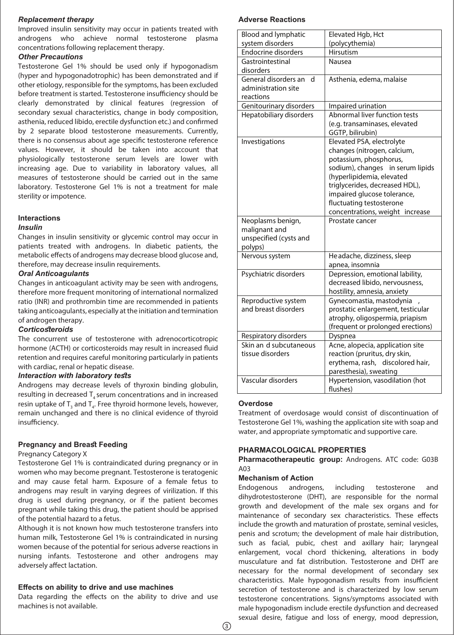#### *Replacement therapy*

Improved insulin sensitivity may occur in patients treated with androgens who achieve normal testosterone plasma concentrations following replacement therapy.

#### *Other Precautions*

Testosterone Gel 1% should be used only if hypogonadism (hyper and hypogonadotrophic) has been demonstrated and if other etiology, responsible for the symptoms, has been excluded before treatment is started. Testosterone insufficiency should be clearly demonstrated by clinical features (regression of secondary sexual characteristics, change in body composition, asthenia, reduced libido, erectile dysfunction etc.) and confirmed by 2 separate blood testosterone measurements. Currently, there is no consensus about age specific testosterone reference values. However, it should be taken into account that physiologically testosterone serum levels are lower with increasing age. Due to variability in laboratory values, all measures of testosterone should be carried out in the same laboratory. Testosterone Gel 1% is not a treatment for male sterility or impotence.

## **Interactions**

#### *Insulin*

Changes in insulin sensitivity or glycemic control may occur in patients treated with androgens. In diabetic patients, the metabolic effects of androgens may decrease blood glucose and, therefore, may decrease insulin requirements.

# *Oral Anticoagulants*

Changes in anticoagulant activity may be seen with androgens, therefore more frequent monitoring of international normalized ratio (INR) and prothrombin time are recommended in patients taking anticoagulants, especially at the initiation and termination of androgen therapy.

# *Corticosteroids*

The concurrent use of testosterone with adrenocorticotropic hormone (ACTH) or corticosteroids may result in increased fluid retention and requires careful monitoring particularly in patients with cardiac, renal or hepatic disease.

## *Interaction with laboratory tests*

Androgens may decrease levels of thyroxin binding globulin, resulting in decreased T, serum concentrations and in increased resin uptake of  $\mathsf{T}_\mathsf{3}$  and  $\mathsf{T}_\mathsf{4}$ . Free thyroid hormone levels, however, remain unchanged and there is no clinical evidence of thyroid insufficiency.

## **Pregnancy and Breast Feeding**

#### Pregnancy Category X

Testosterone Gel 1% is contraindicated during pregnancy or in women who may become pregnant. Testosterone is teratogenic and may cause fetal harm. Exposure of a female fetus to androgens may result in varying degrees of virilization. If this drug is used during pregnancy, or if the patient becomes pregnant while taking this drug, the patient should be apprised of the potential hazard to a fetus.

Although it is not known how much testosterone transfers into human milk, Testosterone Gel 1% is contraindicated in nursing women because of the potential for serious adverse reactions in nursing infants. Testosterone and other androgens may adversely affect lactation.

# **Effects on ability to drive and use machines**

Data regarding the effects on the ability to drive and use machines is not available.

# **Adverse Reactions**

| <b>Blood and lymphatic</b> | Elevated Hgb, Hct                                             |
|----------------------------|---------------------------------------------------------------|
| system disorders           | (polycythemia)                                                |
| <b>Endocrine disorders</b> | Hirsutism                                                     |
| Gastrointestinal           | Nausea                                                        |
| disorders                  |                                                               |
| General disorders an<br>H  | Asthenia, edema, malaise                                      |
| administration site        |                                                               |
| reactions                  |                                                               |
| Genitourinary disorders    | Impaired urination                                            |
| Hepatobiliary disorders    | Abnormal liver function tests                                 |
|                            | (e.g. transaminases, elevated                                 |
|                            | GGTP, bilirubin)                                              |
| Investigations             | Elevated PSA, electrolyte                                     |
|                            | changes (nitrogen, calcium,                                   |
|                            | potassium, phosphorus,                                        |
|                            | sodium), changes<br>in serum lipids                           |
|                            | (hyperlipidemia, elevated                                     |
|                            | triglycerides, decreased HDL),<br>impaired glucose tolerance, |
|                            | fluctuating testosterone                                      |
|                            | concentrations, weight increase                               |
| Neoplasms benign,          | Prostate cancer                                               |
| malignant and              |                                                               |
| unspecified (cysts and     |                                                               |
| polyps)                    |                                                               |
| Nervous system             | He adache, dizziness, sleep                                   |
|                            | apnea, insomnia                                               |
| Psychiatric disorders      | Depression, emotional lability,                               |
|                            | decreased libido, nervousness,                                |
|                            | hostility, amnesia, anxiety                                   |
| Reproductive system        | Gynecomastia, mastodynia                                      |
| and breast disorders       | prostatic enlargement, testicular                             |
|                            | atrophy, oligospermia, priapism                               |
|                            | (frequent or prolonged erections)                             |
| Respiratory disorders      | Dyspnea                                                       |
| Skin an d subcutaneous     | Acne, alopecia, application site                              |
| tissue disorders           | reaction (pruritus, dry skin,                                 |
|                            | erythema, rash, discolored hair,                              |
|                            | paresthesia), sweating                                        |
| Vascular disorders         | Hypertension, vasodilation (hot                               |
|                            | flushes)                                                      |

#### **Overdose**

Treatment of overdosage would consist of discontinuation of Testosterone Gel 1%, washing the application site with soap and water, and appropriate symptomatic and supportive care.

# **PHARMACOLOGICAL PROPERTIES**

**Pharmacotherapeutic group:** Androgens. ATC code: G03B  $A<sub>03</sub>$ 

# **Mechanism of Action**

Endogenous androgens, including testosterone and dihydrotestosterone (DHT), are responsible for the normal growth and development of the male sex organs and for maintenance of secondary sex characteristics. These effects include the growth and maturation of prostate, seminal vesicles, penis and scrotum; the development of male hair distribution, such as facial, pubic, chest and axillary hair; laryngeal enlargement, vocal chord thickening, alterations in body musculature and fat distribution. Testosterone and DHT are necessary for the normal development of secondary sex characteristics. Male hypogonadism results from insufficient secretion of testosterone and is characterized by low serum testosterone concentrations. Signs/symptoms associated with male hypogonadism include erectile dysfunction and decreased sexual desire, fatigue and loss of energy, mood depression,